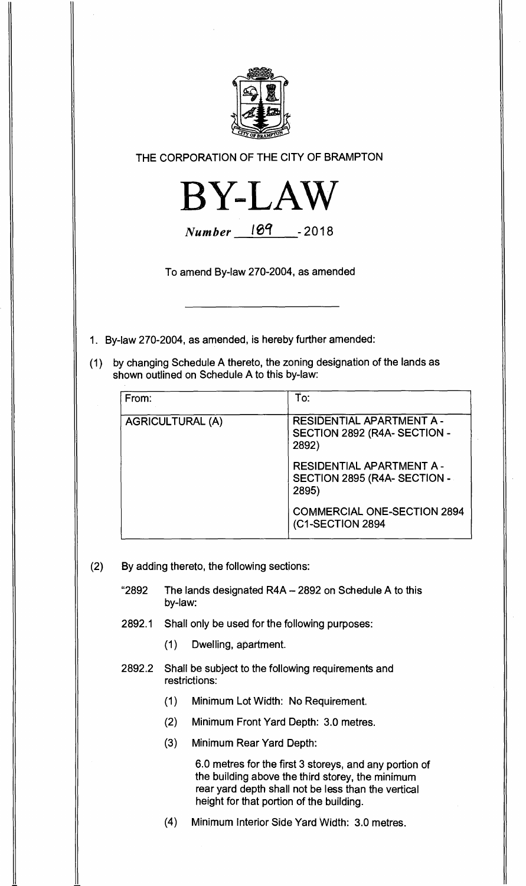

**THE CORPORATION OF THE CITY OF BRAMPTON** 



**Number 189 -2018** 

**To amend By-law 270-2004, as amended** 

- **1. By-law 270-2004, as amended, is hereby further amended:**
- **(1) by changing Schedule A thereto, the zoning designation of the lands as shown outlined on Schedule A to this by-law:**

| From:                   | To:                                                                     |
|-------------------------|-------------------------------------------------------------------------|
| <b>AGRICULTURAL (A)</b> | RESIDENTIAL APARTMENT A -<br>SECTION 2892 (R4A- SECTION -<br>2892)      |
|                         | <b>RESIDENTIAL APARTMENT A-</b><br>SECTION 2895 (R4A-SECTION -<br>2895) |
|                         | <b>COMMERCIAL ONE-SECTION 2894</b><br>(C1-SECTION 2894                  |

- **(2) By adding thereto, the following sections:** 
	- **"2892 The lands designated R4A 2892 on Schedule A to this by-law:**
	- **2892.1 Shall only be used for the following purposes:** 
		- **(1) Dwelling, apartment.**
	- **2892.2 Shall be subject to the following requirements and restrictions:** 
		- **(1) Minimum Lot Width: No Requirement.**
		- **(2) Minimum Front Yard Depth: 3.0 metres.**
		- **(3) Minimum Rear Yard Depth:**

**6.0 metres for the first 3 storeys, and any portion of the building above the third storey, the minimum rear yard depth shall not be less than the vertical height for that portion of the building.** 

**(4) Minimum Interior Side Yard Width: 3.0 metres.**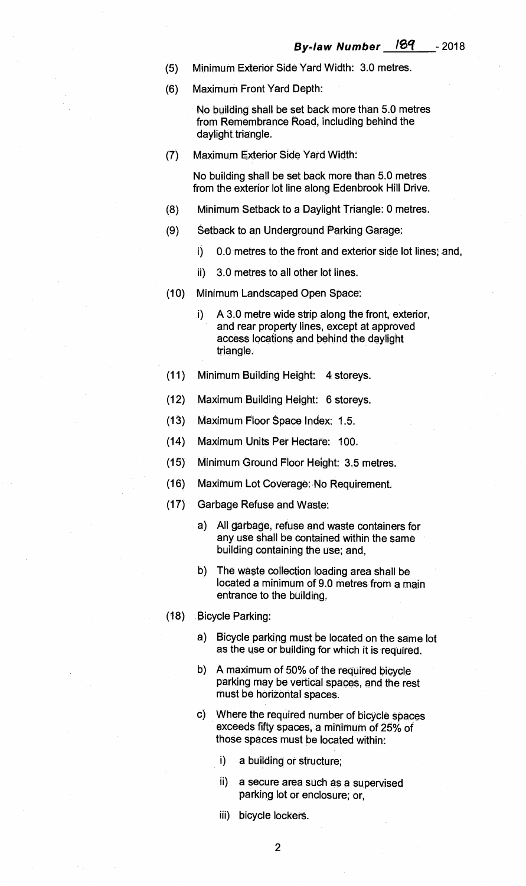- (5) Minimum Exterior Side Yard Width: 3.0 metres.
- (6) Maximum Front Yard Depth:

No building shall be set back more than 5.0 metres from Remembrance Road, including behind the daylight triangle.

(7) Maximum Exterior Side Yard Width:

No building shall be set back more than 5.0 metres from the exterior lot line along Edenbrook Hill Drive.

- (8) Minimum Setback to a Daylight Triangle: 0 metres.
- (9) Setback to an Underground Parking Garage:
	- i) 0.0 metres to the front and exterior side lot lines; and,
	- ii) 3.0 metres to all other lot lines.
- (10) Minimum Landscaped Open Space:
	- i) A 3.0 metre wide strip along the front, exterior, and rear property lines, except at approved access locations and behind the daylight triangle.
- (11) Minimum Building Height: 4 storeys.
- (12) Maximum Building Height: 6 storeys.
- (13) Maximum Floor Space Index: 1.5.
- (14) Maximum Units Per Hectare: 100.
- (15) Minimum Ground Floor Height: 3.5 metres.
- (16) Maximum Lot Coverage: No Requirement.
- (17) Garbage Refuse and Waste:
	- a) All garbage, refuse and waste containers for any use shall be contained within the same building containing the use; and,
	- b) The waste collection loading area shall be located a minimum of 9.0 metres from a main entrance to the building.
- (18) Bicycle Parking:
	- a) Bicycle parking must be located on the same lot as the use or building for which it is required.
	- b) A maximum of 50% of the required bicycle parking may be vertical spaces, and the rest must be horizontal spaces.
	- Where the required number of bicycle spaces C) exceeds fifty spaces, a minimum of 25% of those spaces must be located within:
		- i) a building or structure;
		- ii) a secure area such as a supervised parking lot or enclosure; or,
		- iii) bicycle lockers.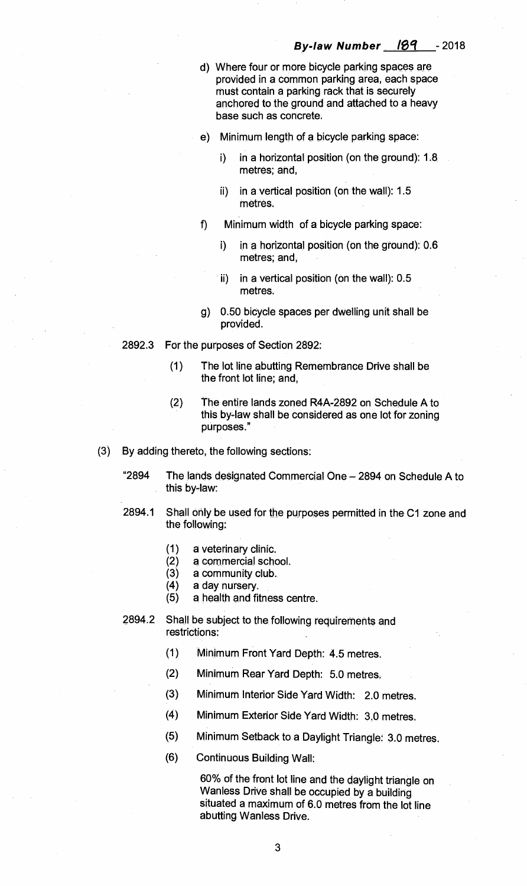- d) Where four or more bicycle parking spaces are provided in a common parking area, each space must contain a parking rack that is securely anchored to the ground and attached to a heavy base such as concrete.
- e) Minimum length of a bicycle parking space:
	- i) in a horizontal position (on the ground): 1.8 metres; and,
	- ii) in a vertical position (on the wall): 1.5 metres.
- f) Minimum width of a bicycle parking space:
	- i) in a horizontal position (on the ground): 0.6 metres; and,
	- ii) in a vertical position (on the wall): 0.5 metres.
- g) 0.50 bicycle spaces per dwelling unit shall be provided.
- 2892.3 For the purposes of Section 2892:
	- (1) The lot line abutting Remembrance Drive shall be the front lot line; and,
	- (2) The entire lands zoned R4A-2892 on Schedule A to this by-law shall be considered as one lot for zoning purposes."
- By adding thereto, the following sections:
	- "2894 The lands designated Commercial One 2894 on Schedule A to this by-law:
	- 2894.1 Shall only be used for the purposes permitted in the C1 zone and the following:
		- (1) a veterinary clinic.
		- (2) a commercial school.
		- (3) a community club.
		- (4) a day nursery.
		- (5) a health and fitness centre.
	- 2894.2 Shall be subject to the following requirements and restrictions:
		- (1) Minimum Front Yard Depth: 4.5 metres.
		- (2) Minimum Rear Yard Depth: 5.0 metres.
		- (3) Minimum Interior Side Yard Width: 2.0 metres.
		- (4) Minimum Exterior Side Yard Width: 3.0 metres.
		- (5) Minimum Setback to a Daylight Triangle: 3.0 metres.
		- (6) Continuous Building Wall:

60% of the front lot line and the daylight triangle on Wanless Drive shall be occupied by a building situated a maximum of 6.0 metres from the lot line abutting Wanless Drive.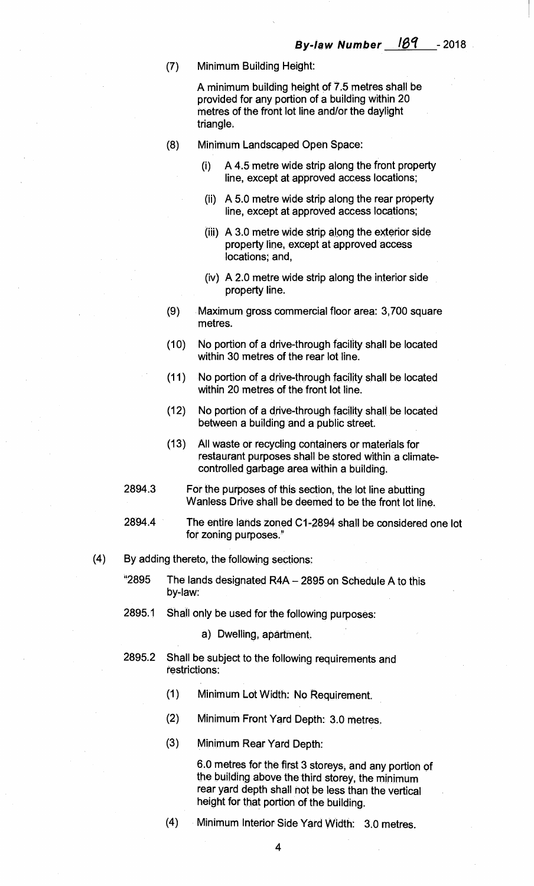**(7) Minimum Building Height:** 

**A minimum building height of 7.5 metres shall be provided for any portion of a building within 20 metres of the front lot line and/or the daylight triangle.** 

- **(8) Minimum Landscaped Open Space:** 
	- **(i) A 4.5 metre wide strip along the front property line, except at approved access locations;**
	- **(ii) A 5.0 metre wide strip along the rear property line, except at approved access locations;**
	- **(iii) A 3.0 metre wide strip along the exterior side property line, except at approved access locations; and,**
	- **(iv) A 2.0 metre wide strip along the interior side property line.**
- **(9) Maximum gross commercial floor area: 3,700 square metres.**
- **(10) No portion of a drive-through facility shall be located within 30 metres of the rear lot line.**
- **(11) No portion of a drive-through facility shall be located within 20 metres of the front lot line.**
- **(12) No portion of a drive-through facility shall be located**  between a building and a public street.
- **(13) All waste or recycling containers or materials for restaurant purposes shall be stored within a climatecontrolled garbage area within a building.**
- **2894.3 For the purposes of this section, the lot line abutting Wanless Drive shall be deemed to be the front lot line.**
- **2894.4 The entire lands zoned C1-2894 shall be considered one lot for zoning purposes."**
- **(4) By adding thereto, the following sections:** 
	- **"2895 The lands designated R4A 2895 on Schedule A to this by-law:**
	- **2895.1 Shall only be used for the following purposes:** 
		- **a) Dwelling, apartment.**
	- **2895.2 Shall be subject to the following requirements and restrictions:** 
		- **(1) Minimum Lot Width: No Requirement.**
		- **(2) Minimum Front Yard Depth: 3.0 metres.**
		- **(3) Minimum Rear Yard Depth:**

**6.0 metres for the first 3 storeys, and any portion of the building above the third storey, the minimum rear yard depth shall not be less than the vertical height for that portion of the building.** 

**(4) Minimum Interior Side Yard Width : 3.0 metres.** 

**4**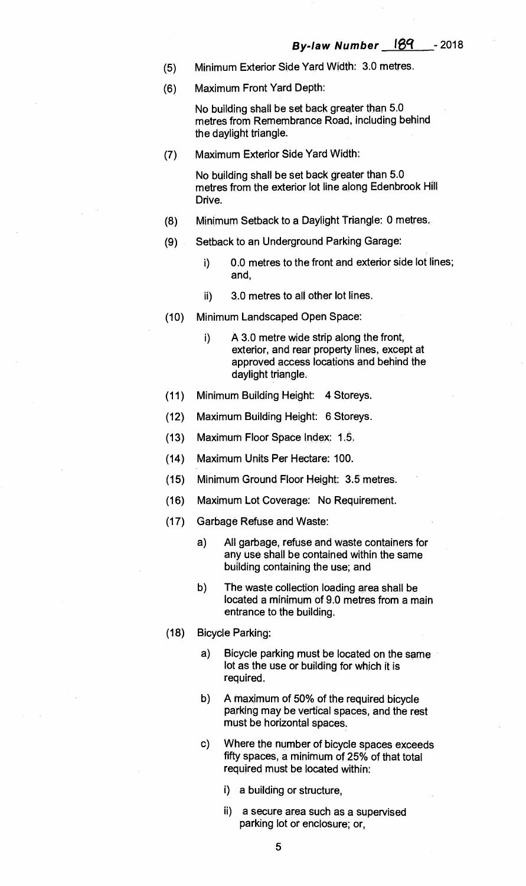- **(5) Minimum Exterior Side Yard Width: 3.0 metres.**
- **(6) Maximum Front Yard Depth:**

**No building shall be set back greater than 5.0 metres from Remembrance Road, including behind the daylight triangle.** 

**(7) Maximum Exterior Side Yard Width:** 

**No building shall be set back greater than 5.0 metres from the exterior lot line along Edenbrook Hill Drive.** 

- **(8) Minimum Setback to a Daylight Triangle: 0 metres.**
- **(9) Setback to an Underground Parking Garage:** 
	- **i) 0.0 metres to the front and exterior side lot lines; and,**
	- **ii) 3.0 metres to all other lot lines.**
- **(10) Minimum Landscaped Open Space:** 
	- **i) A 3.0 metre wide strip along the front, exterior, and rear property lines, except at approved access locations and behind the daylight triangle.**
- **(11) Minimum Building Height: 4 Storeys.**
- **(12) Maximum Building Height: 6 Storeys.**
- **(13) Maximum Floor Space Index: 1.5.**
- **(14) Maximum Units Per Hectare: 100.**
- **(15) Minimum Ground Floor Height: 3.5 metres.**
- **(16) Maximum Lot Coverage: No Requirement.**
- **(17) Garbage Refuse and Waste:** 
	- **a) All garbage, refuse and waste containers for any use shall be contained within the same building containing the use; and**
	- **b) The waste collection loading area shall be located a minimum of 9.0 metres from a main entrance to the building.**
- **(18) Bicycle Parking:** 
	- **a) Bicycle parking must be located on the same lot as the use or building for which it is required.**
	- **b) A maximum of 50% of the required bicycle parking may be vertical spaces, and the rest must be horizontal spaces.**
	- **c) Where the number of bicycle spaces exceeds fifty spaces, a minimum of 25% of that total required must be located within:** 
		- **i) a building or structure,**
		- **ii) a secure area such as a supervised parking lot or enclosure; or,**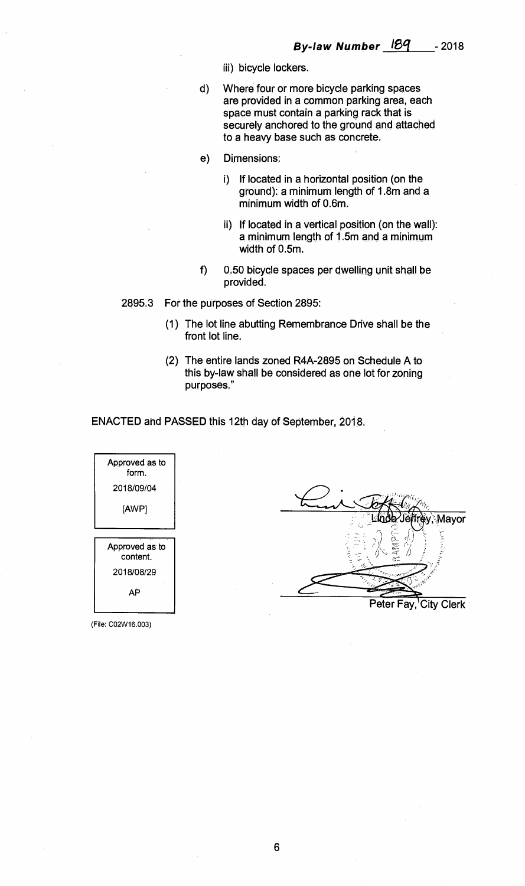- **iii) bicycle lockers.**
- **d) Where four or more bicycle parking spaces are provided in a common parking area, each space must contain a parking rack that is securely anchored to the ground and attached to a heavy base such as concrete.**
- **Dimensions:**   $e)$ 
	- **i) If located in a horizontal position (on the ground): a minimum length of 1.8m and a minimum width of 0.6m.**
	- **ii) If located in a vertical position (on the wall): a minimum length of 1.5m and a minimum width of 0.5m.**
- **f) 0.50 bicycle spaces per dwelling unit shall be provided.**

**2895.3 For the purposes of Section 2895:** 

- **(1) The lot line abutting Remembrance Drive shall be the front lot line.**
- **(2) The entire lands zoned R4A-2895 on Schedule A to this by-law shall be considered as one lot for Zoning purposes."**

**ENACTED and PASSED this 12th day of September, 2018.** 

Approved as to form. 2018/09/04 [AWP] Mayor Approved as to content. 2018/08/29 AP

Peter Fay, City Clerk

(File: CO2W16.003)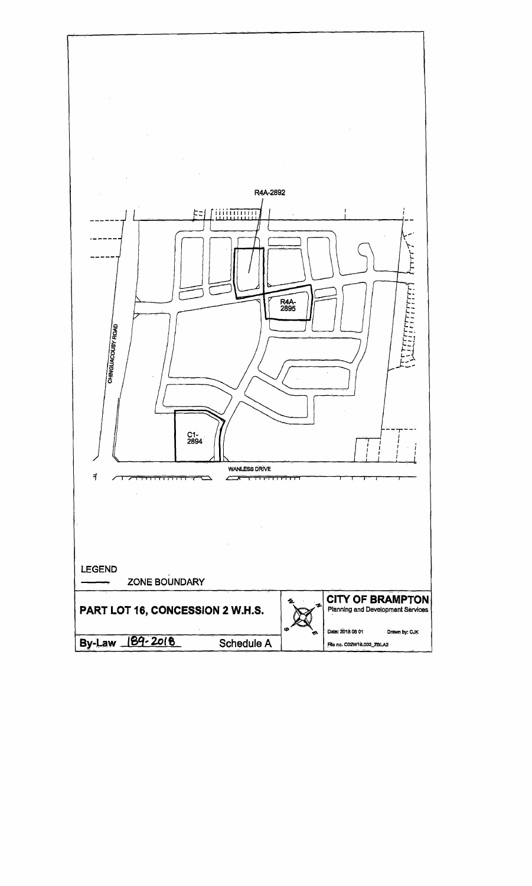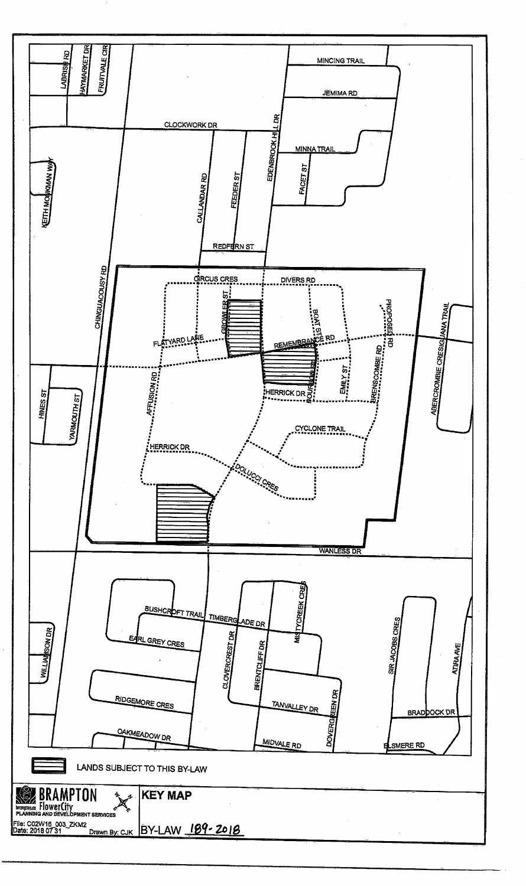